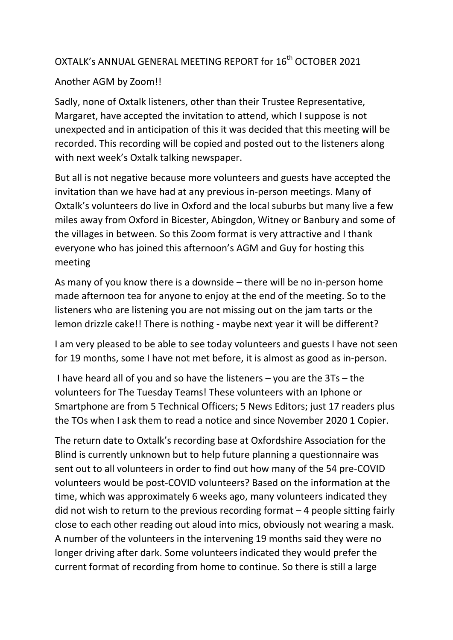## OXTALK's ANNUAL GENERAL MEETING REPORT for 16<sup>th</sup> OCTOBER 2021

## Another AGM by Zoom!!

Sadly, none of Oxtalk listeners, other than their Trustee Representative, Margaret, have accepted the invitation to attend, which I suppose is not unexpected and in anticipation of this it was decided that this meeting will be recorded. This recording will be copied and posted out to the listeners along with next week's Oxtalk talking newspaper.

But all is not negative because more volunteers and guests have accepted the invitation than we have had at any previous in-person meetings. Many of Oxtalk's volunteers do live in Oxford and the local suburbs but many live a few miles away from Oxford in Bicester, Abingdon, Witney or Banbury and some of the villages in between. So this Zoom format is very attractive and I thank everyone who has joined this afternoon's AGM and Guy for hosting this meeting

As many of you know there is a downside – there will be no in-person home made afternoon tea for anyone to enjoy at the end of the meeting. So to the listeners who are listening you are not missing out on the jam tarts or the lemon drizzle cake!! There is nothing - maybe next year it will be different?

I am very pleased to be able to see today volunteers and guests I have not seen for 19 months, some I have not met before, it is almost as good as in-person.

I have heard all of you and so have the listeners – you are the 3Ts – the volunteers for The Tuesday Teams! These volunteers with an Iphone or Smartphone are from 5 Technical Officers; 5 News Editors; just 17 readers plus the TOs when I ask them to read a notice and since November 2020 1 Copier.

The return date to Oxtalk's recording base at Oxfordshire Association for the Blind is currently unknown but to help future planning a questionnaire was sent out to all volunteers in order to find out how many of the 54 pre-COVID volunteers would be post-COVID volunteers? Based on the information at the time, which was approximately 6 weeks ago, many volunteers indicated they did not wish to return to the previous recording format  $-4$  people sitting fairly close to each other reading out aloud into mics, obviously not wearing a mask. A number of the volunteers in the intervening 19 months said they were no longer driving after dark. Some volunteers indicated they would prefer the current format of recording from home to continue. So there is still a large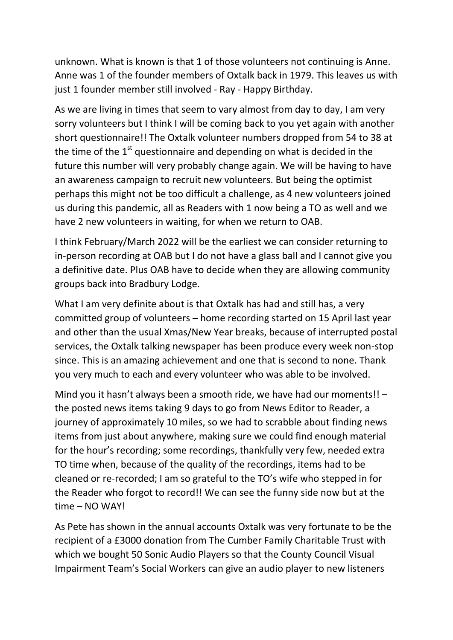unknown. What is known is that 1 of those volunteers not continuing is Anne. Anne was 1 of the founder members of Oxtalk back in 1979. This leaves us with just 1 founder member still involved - Ray - Happy Birthday.

As we are living in times that seem to vary almost from day to day, I am very sorry volunteers but I think I will be coming back to you yet again with another short questionnaire!! The Oxtalk volunteer numbers dropped from 54 to 38 at the time of the  $1<sup>st</sup>$  questionnaire and depending on what is decided in the future this number will very probably change again. We will be having to have an awareness campaign to recruit new volunteers. But being the optimist perhaps this might not be too difficult a challenge, as 4 new volunteers joined us during this pandemic, all as Readers with 1 now being a TO as well and we have 2 new volunteers in waiting, for when we return to OAB.

I think February/March 2022 will be the earliest we can consider returning to in-person recording at OAB but I do not have a glass ball and I cannot give you a definitive date. Plus OAB have to decide when they are allowing community groups back into Bradbury Lodge.

What I am very definite about is that Oxtalk has had and still has, a very committed group of volunteers – home recording started on 15 April last year and other than the usual Xmas/New Year breaks, because of interrupted postal services, the Oxtalk talking newspaper has been produce every week non-stop since. This is an amazing achievement and one that is second to none. Thank you very much to each and every volunteer who was able to be involved.

Mind you it hasn't always been a smooth ride, we have had our moments!! – the posted news items taking 9 days to go from News Editor to Reader, a journey of approximately 10 miles, so we had to scrabble about finding news items from just about anywhere, making sure we could find enough material for the hour's recording; some recordings, thankfully very few, needed extra TO time when, because of the quality of the recordings, items had to be cleaned or re-recorded; I am so grateful to the TO's wife who stepped in for the Reader who forgot to record!! We can see the funny side now but at the time – NO WAY!

As Pete has shown in the annual accounts Oxtalk was very fortunate to be the recipient of a £3000 donation from The Cumber Family Charitable Trust with which we bought 50 Sonic Audio Players so that the County Council Visual Impairment Team's Social Workers can give an audio player to new listeners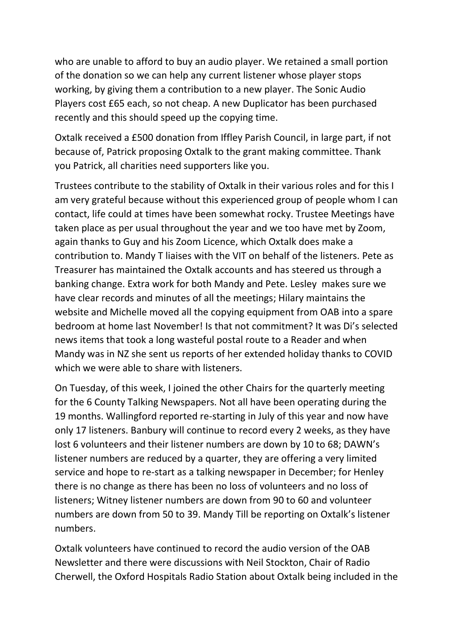who are unable to afford to buy an audio player. We retained a small portion of the donation so we can help any current listener whose player stops working, by giving them a contribution to a new player. The Sonic Audio Players cost £65 each, so not cheap. A new Duplicator has been purchased recently and this should speed up the copying time.

Oxtalk received a £500 donation from Iffley Parish Council, in large part, if not because of, Patrick proposing Oxtalk to the grant making committee. Thank you Patrick, all charities need supporters like you.

Trustees contribute to the stability of Oxtalk in their various roles and for this I am very grateful because without this experienced group of people whom I can contact, life could at times have been somewhat rocky. Trustee Meetings have taken place as per usual throughout the year and we too have met by Zoom, again thanks to Guy and his Zoom Licence, which Oxtalk does make a contribution to. Mandy T liaises with the VIT on behalf of the listeners. Pete as Treasurer has maintained the Oxtalk accounts and has steered us through a banking change. Extra work for both Mandy and Pete. Lesley makes sure we have clear records and minutes of all the meetings; Hilary maintains the website and Michelle moved all the copying equipment from OAB into a spare bedroom at home last November! Is that not commitment? It was Di's selected news items that took a long wasteful postal route to a Reader and when Mandy was in NZ she sent us reports of her extended holiday thanks to COVID which we were able to share with listeners.

On Tuesday, of this week, I joined the other Chairs for the quarterly meeting for the 6 County Talking Newspapers. Not all have been operating during the 19 months. Wallingford reported re-starting in July of this year and now have only 17 listeners. Banbury will continue to record every 2 weeks, as they have lost 6 volunteers and their listener numbers are down by 10 to 68; DAWN's listener numbers are reduced by a quarter, they are offering a very limited service and hope to re-start as a talking newspaper in December; for Henley there is no change as there has been no loss of volunteers and no loss of listeners; Witney listener numbers are down from 90 to 60 and volunteer numbers are down from 50 to 39. Mandy Till be reporting on Oxtalk's listener numbers.

Oxtalk volunteers have continued to record the audio version of the OAB Newsletter and there were discussions with Neil Stockton, Chair of Radio Cherwell, the Oxford Hospitals Radio Station about Oxtalk being included in the